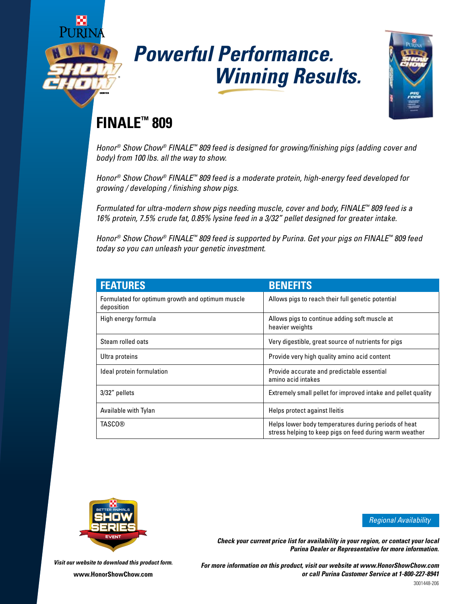

# *Powerful Performance. Winning Results.*



## **FINALE™ 809**

*Honor® Show Chow® FINALE™ 809 feed is designed for growing/finishing pigs (adding cover and body) from 100 lbs. all the way to show.* 

*Honor® Show Chow® FINALE™ 809 feed is a moderate protein, high-energy feed developed for growing / developing / finishing show pigs.* 

*Formulated for ultra-modern show pigs needing muscle, cover and body, FINALE™ 809 feed is a 16% protein, 7.5% crude fat, 0.85% lysine feed in a 3/32" pellet designed for greater intake.*

*Honor® Show Chow® FINALE™ 809 feed is supported by Purina. Get your pigs on FINALE™ 809 feed today so you can unleash your genetic investment.* 

| <b>FEATURES</b>                                                | <b>BENEFITS</b>                                                                                                 |  |
|----------------------------------------------------------------|-----------------------------------------------------------------------------------------------------------------|--|
| Formulated for optimum growth and optimum muscle<br>deposition | Allows pigs to reach their full genetic potential                                                               |  |
| High energy formula                                            | Allows pigs to continue adding soft muscle at<br>heavier weights                                                |  |
| Steam rolled oats                                              | Very digestible, great source of nutrients for pigs                                                             |  |
| Ultra proteins                                                 | Provide very high quality amino acid content                                                                    |  |
| Ideal protein formulation                                      | Provide accurate and predictable essential<br>amino acid intakes                                                |  |
| 3/32" pellets                                                  | Extremely small pellet for improved intake and pellet quality                                                   |  |
| Available with Tylan                                           | Helps protect against lleitis                                                                                   |  |
| <b>TASCO®</b>                                                  | Helps lower body temperatures during periods of heat<br>stress helping to keep pigs on feed during warm weather |  |



*Regional Availability*

*Check your current price list for availability in your region, or contact your local Purina Dealer or Representative for more information.*

*Visit our website to download this product form.* **www.HonorShowChow.com**

*For more information on this product, visit our website at www.HonorShowChow.com or call Purina Customer Service at 1-800-227-8941*